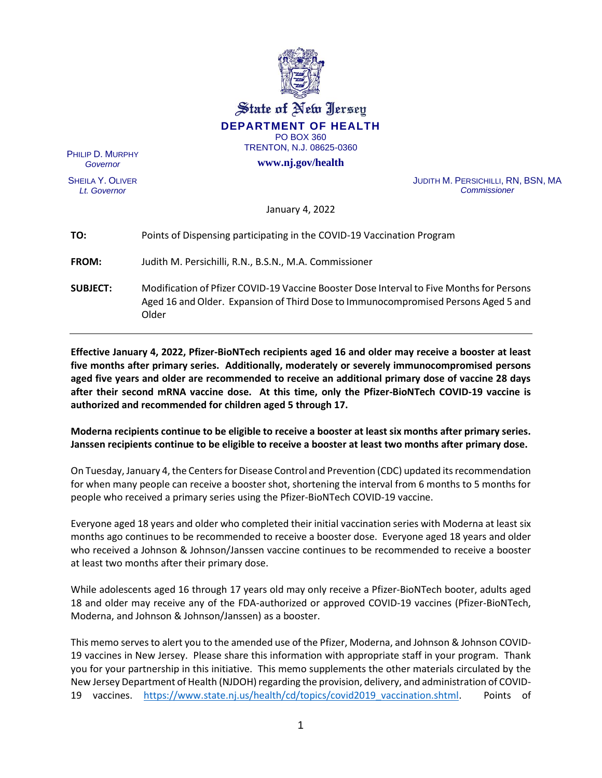

State of New Jersey **DEPARTMENT OF HEALTH** PO BOX 360

TRENTON, N.J. 08625-0360

**www.nj.gov/health**

PHILIP D. MURPHY *Governor*

SHEILA Y. OLIVER *Lt. Governor*

JUDITH M. PERSICHILLI, RN, BSN, MA *Commissioner*

January 4, 2022

| TO:             | Points of Dispensing participating in the COVID-19 Vaccination Program                                                                                                                  |
|-----------------|-----------------------------------------------------------------------------------------------------------------------------------------------------------------------------------------|
| <b>FROM:</b>    | Judith M. Persichilli, R.N., B.S.N., M.A. Commissioner                                                                                                                                  |
| <b>SUBJECT:</b> | Modification of Pfizer COVID-19 Vaccine Booster Dose Interval to Five Months for Persons<br>Aged 16 and Older. Expansion of Third Dose to Immunocompromised Persons Aged 5 and<br>Older |

**Effective January 4, 2022, Pfizer-BioNTech recipients aged 16 and older may receive a booster at least five months after primary series. Additionally, moderately or severely immunocompromised persons aged five years and older are recommended to receive an additional primary dose of vaccine 28 days after their second mRNA vaccine dose. At this time, only the Pfizer-BioNTech COVID-19 vaccine is authorized and recommended for children aged 5 through 17.**

# **Moderna recipients continue to be eligible to receive a booster at least six months after primary series. Janssen recipients continue to be eligible to receive a booster at least two months after primary dose.**

On Tuesday, January 4, the Centers for Disease Control and Prevention (CDC) updated its recommendation for when many people can receive a booster shot, shortening the interval from 6 months to 5 months for people who received a primary series using the Pfizer-BioNTech COVID-19 vaccine.

Everyone aged 18 years and older who completed their initial vaccination series with Moderna at least six months ago continues to be recommended to receive a booster dose. Everyone aged 18 years and older who received a Johnson & Johnson/Janssen vaccine continues to be recommended to receive a booster at least two months after their primary dose.

While adolescents aged 16 through 17 years old may only receive a Pfizer-BioNTech booter, adults aged 18 and older may receive any of the FDA-authorized or approved COVID-19 vaccines (Pfizer-BioNTech, Moderna, and Johnson & Johnson/Janssen) as a booster.

This memo serves to alert you to the amended use of the Pfizer, Moderna, and Johnson & Johnson COVID-19 vaccines in New Jersey. Please share this information with appropriate staff in your program.Thank you for your partnership in this initiative. This memo supplements the other materials circulated by the New Jersey Department of Health (NJDOH) regarding the provision, delivery, and administration of COVID-19 vaccines. [https://www.state.nj.us/health/cd/topics/covid2019\\_vaccination.shtml.](https://www.state.nj.us/health/cd/topics/covid2019_vaccination.shtml) Points of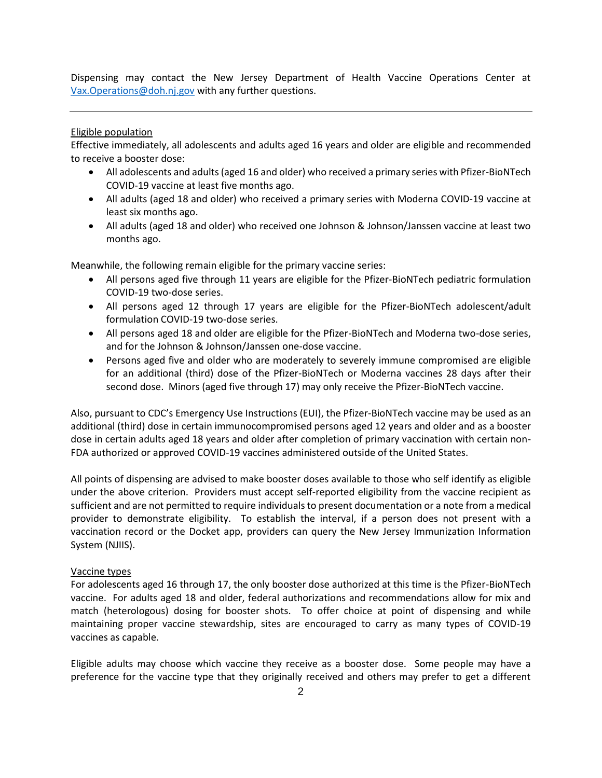Dispensing may contact the New Jersey Department of Health Vaccine Operations Center at [Vax.Operations@doh.nj.gov](mailto:Vax.Operations@doh.nj.gov) with any further questions.

#### Eligible population

Effective immediately, all adolescents and adults aged 16 years and older are eligible and recommended to receive a booster dose:

- All adolescents and adults (aged 16 and older) who received a primary series with Pfizer-BioNTech COVID-19 vaccine at least five months ago.
- All adults (aged 18 and older) who received a primary series with Moderna COVID-19 vaccine at least six months ago.
- All adults (aged 18 and older) who received one Johnson & Johnson/Janssen vaccine at least two months ago.

Meanwhile, the following remain eligible for the primary vaccine series:

- All persons aged five through 11 years are eligible for the Pfizer-BioNTech pediatric formulation COVID-19 two-dose series.
- All persons aged 12 through 17 years are eligible for the Pfizer-BioNTech adolescent/adult formulation COVID-19 two-dose series.
- All persons aged 18 and older are eligible for the Pfizer-BioNTech and Moderna two-dose series, and for the Johnson & Johnson/Janssen one-dose vaccine.
- Persons aged five and older who are moderately to severely immune compromised are eligible for an additional (third) dose of the Pfizer-BioNTech or Moderna vaccines 28 days after their second dose. Minors (aged five through 17) may only receive the Pfizer-BioNTech vaccine.

Also, pursuant to CDC's Emergency Use Instructions (EUI), the Pfizer-BioNTech vaccine may be used as an additional (third) dose in certain immunocompromised persons aged 12 years and older and as a booster dose in certain adults aged 18 years and older after completion of primary vaccination with certain non-FDA authorized or approved COVID-19 vaccines administered outside of the United States.

All points of dispensing are advised to make booster doses available to those who self identify as eligible under the above criterion. Providers must accept self-reported eligibility from the vaccine recipient as sufficient and are not permitted to require individuals to present documentation or a note from a medical provider to demonstrate eligibility. To establish the interval, if a person does not present with a vaccination record or the Docket app, providers can query the New Jersey Immunization Information System (NJIIS).

#### Vaccine types

For adolescents aged 16 through 17, the only booster dose authorized at this time is the Pfizer-BioNTech vaccine. For adults aged 18 and older, federal authorizations and recommendations allow for mix and match (heterologous) dosing for booster shots. To offer choice at point of dispensing and while maintaining proper vaccine stewardship, sites are encouraged to carry as many types of COVID-19 vaccines as capable.

Eligible adults may choose which vaccine they receive as a booster dose. Some people may have a preference for the vaccine type that they originally received and others may prefer to get a different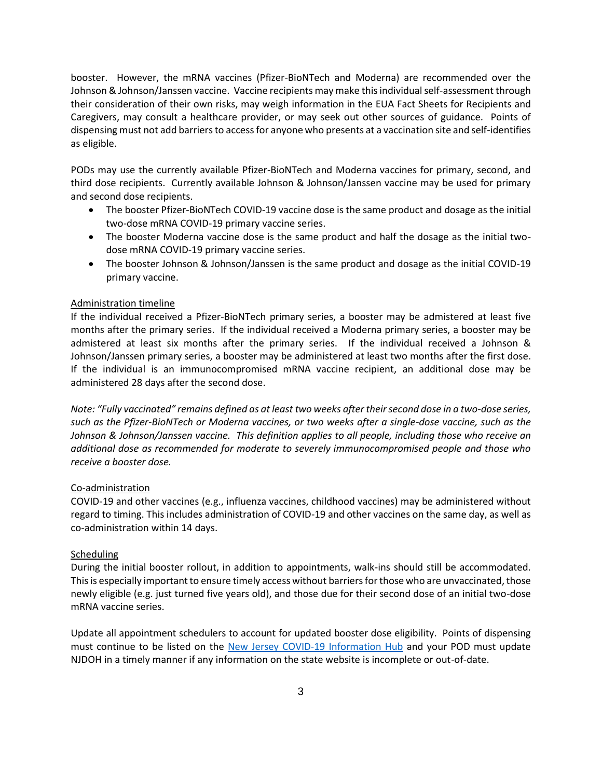booster. However, the mRNA vaccines (Pfizer-BioNTech and Moderna) are recommended over the Johnson & Johnson/Janssen vaccine. Vaccine recipients may make this individual self-assessment through their consideration of their own risks, may weigh information in the EUA Fact Sheets for Recipients and Caregivers, may consult a healthcare provider, or may seek out other sources of guidance. Points of dispensing must not add barriers to access for anyone who presents at a vaccination site and self-identifies as eligible.

PODs may use the currently available Pfizer-BioNTech and Moderna vaccines for primary, second, and third dose recipients. Currently available Johnson & Johnson/Janssen vaccine may be used for primary and second dose recipients.

- The booster Pfizer-BioNTech COVID-19 vaccine dose is the same product and dosage as the initial two-dose mRNA COVID-19 primary vaccine series.
- The booster Moderna vaccine dose is the same product and half the dosage as the initial twodose mRNA COVID-19 primary vaccine series.
- The booster Johnson & Johnson/Janssen is the same product and dosage as the initial COVID-19 primary vaccine.

### Administration timeline

If the individual received a Pfizer-BioNTech primary series, a booster may be admistered at least five months after the primary series. If the individual received a Moderna primary series, a booster may be admistered at least six months after the primary series. If the individual received a Johnson & Johnson/Janssen primary series, a booster may be administered at least two months after the first dose. If the individual is an immunocompromised mRNA vaccine recipient, an additional dose may be administered 28 days after the second dose.

*Note: "Fully vaccinated" remains defined as at least two weeks after their second dose in a two-dose series, such as the Pfizer-BioNTech or Moderna vaccines, or two weeks after a single-dose vaccine, such as the Johnson & Johnson/Janssen vaccine. This definition applies to all people, including those who receive an additional dose as recommended for moderate to severely immunocompromised people and those who receive a booster dose.*

#### Co-administration

COVID-19 and other vaccines (e.g., influenza vaccines, childhood vaccines) may be administered without regard to timing. This includes administration of COVID-19 and other vaccines on the same day, as well as co-administration within 14 days.

#### Scheduling

During the initial booster rollout, in addition to appointments, walk-ins should still be accommodated. This is especially important to ensure timely access without barriers for those who are unvaccinated, those newly eligible (e.g. just turned five years old), and those due for their second dose of an initial two-dose mRNA vaccine series.

Update all appointment schedulers to account for updated booster dose eligibility. Points of dispensing must continue to be listed on the [New Jersey COVID-19 Information Hub](https://covid19.nj.gov/pages/covid-19-vaccine-locations-for-eligible-recipients) and your POD must update NJDOH in a timely manner if any information on the state website is incomplete or out-of-date.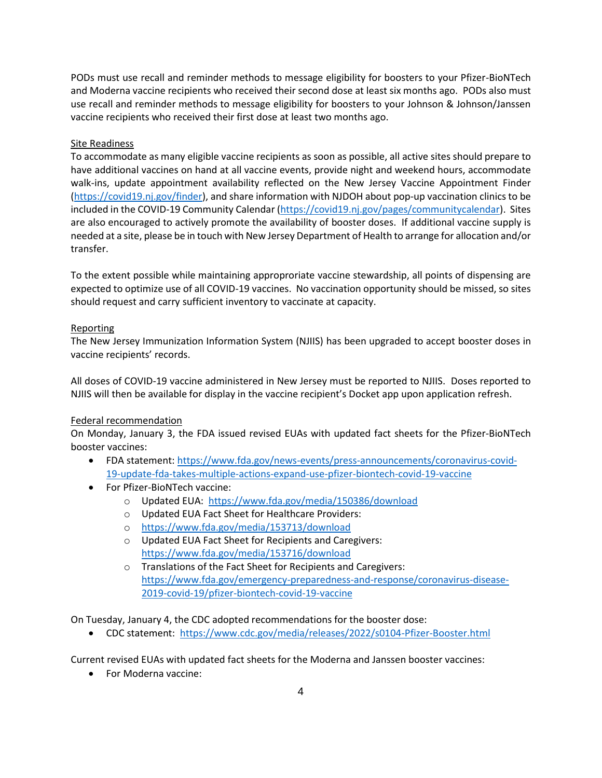PODs must use recall and reminder methods to message eligibility for boosters to your Pfizer-BioNTech and Moderna vaccine recipients who received their second dose at least six months ago. PODs also must use recall and reminder methods to message eligibility for boosters to your Johnson & Johnson/Janssen vaccine recipients who received their first dose at least two months ago.

## Site Readiness

To accommodate as many eligible vaccine recipients as soon as possible, all active sites should prepare to have additional vaccines on hand at all vaccine events, provide night and weekend hours, accommodate walk-ins, update appointment availability reflected on the New Jersey Vaccine Appointment Finder [\(https://covid19.nj.gov/finder\)](https://covid19.nj.gov/finder), and share information with NJDOH about pop-up vaccination clinics to be included in the COVID-19 Community Calendar [\(https://covid19.nj.gov/pages/communitycalendar\)](https://covid19.nj.gov/pages/communitycalendar). Sites are also encouraged to actively promote the availability of booster doses. If additional vaccine supply is needed at a site, please be in touch with New Jersey Department of Health to arrange for allocation and/or transfer.

To the extent possible while maintaining approproriate vaccine stewardship, all points of dispensing are expected to optimize use of all COVID-19 vaccines. No vaccination opportunity should be missed, so sites should request and carry sufficient inventory to vaccinate at capacity.

## Reporting

The New Jersey Immunization Information System (NJIIS) has been upgraded to accept booster doses in vaccine recipients' records.

All doses of COVID-19 vaccine administered in New Jersey must be reported to NJIIS. Doses reported to NJIIS will then be available for display in the vaccine recipient's Docket app upon application refresh.

## Federal recommendation

On Monday, January 3, the FDA issued revised EUAs with updated fact sheets for the Pfizer-BioNTech booster vaccines:

- FDA statement: [https://www.fda.gov/news-events/press-announcements/coronavirus-covid-](https://www.fda.gov/news-events/press-announcements/coronavirus-covid-19-update-fda-takes-multiple-actions-expand-use-pfizer-biontech-covid-19-vaccine)[19-update-fda-takes-multiple-actions-expand-use-pfizer-biontech-covid-19-vaccine](https://www.fda.gov/news-events/press-announcements/coronavirus-covid-19-update-fda-takes-multiple-actions-expand-use-pfizer-biontech-covid-19-vaccine)
- For Pfizer-BioNTech vaccine:
	- o Updated EUA: <https://www.fda.gov/media/150386/download>
	- o Updated EUA Fact Sheet for Healthcare Providers:
	- o <https://www.fda.gov/media/153713/download>
	- o Updated EUA Fact Sheet for Recipients and Caregivers: <https://www.fda.gov/media/153716/download>
	- o Translations of the Fact Sheet for Recipients and Caregivers: [https://www.fda.gov/emergency-preparedness-and-response/coronavirus-disease-](https://www.fda.gov/emergency-preparedness-and-response/coronavirus-disease-2019-covid-19/pfizer-biontech-covid-19-vaccine)[2019-covid-19/pfizer-biontech-covid-19-vaccine](https://www.fda.gov/emergency-preparedness-and-response/coronavirus-disease-2019-covid-19/pfizer-biontech-covid-19-vaccine)

On Tuesday, January 4, the CDC adopted recommendations for the booster dose:

• CDC statement: <https://www.cdc.gov/media/releases/2022/s0104-Pfizer-Booster.html>

Current revised EUAs with updated fact sheets for the Moderna and Janssen booster vaccines:

• For Moderna vaccine: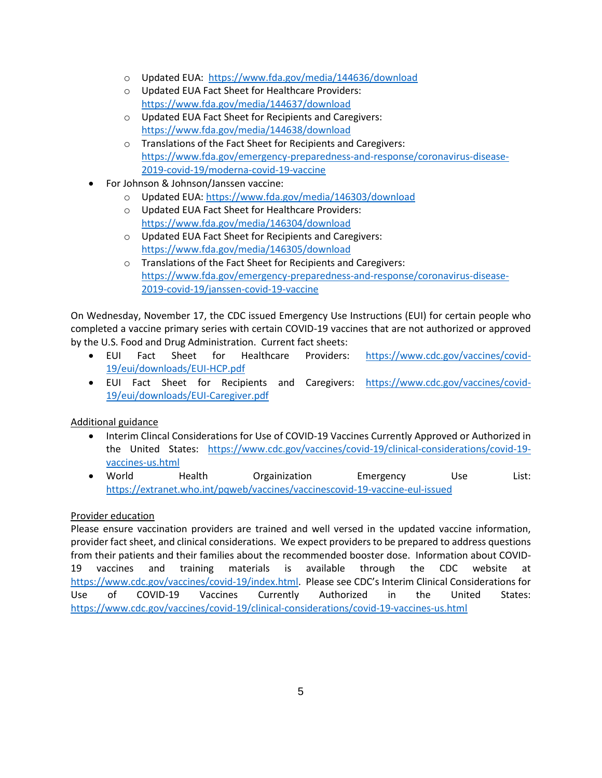- o Updated EUA: <https://www.fda.gov/media/144636/download>
- o Updated EUA Fact Sheet for Healthcare Providers: <https://www.fda.gov/media/144637/download>
- o Updated EUA Fact Sheet for Recipients and Caregivers: <https://www.fda.gov/media/144638/download>
- o Translations of the Fact Sheet for Recipients and Caregivers: [https://www.fda.gov/emergency-preparedness-and-response/coronavirus-disease-](https://www.fda.gov/emergency-preparedness-and-response/coronavirus-disease-2019-covid-19/moderna-covid-19-vaccine)[2019-covid-19/moderna-covid-19-vaccine](https://www.fda.gov/emergency-preparedness-and-response/coronavirus-disease-2019-covid-19/moderna-covid-19-vaccine)
- For Johnson & Johnson/Janssen vaccine:
	- o Updated EUA[: https://www.fda.gov/media/146303/download](https://www.fda.gov/media/146303/download)
	- o Updated EUA Fact Sheet for Healthcare Providers: <https://www.fda.gov/media/146304/download>
	- o Updated EUA Fact Sheet for Recipients and Caregivers: <https://www.fda.gov/media/146305/download>
	- o Translations of the Fact Sheet for Recipients and Caregivers: [https://www.fda.gov/emergency-preparedness-and-response/coronavirus-disease-](https://www.fda.gov/emergency-preparedness-and-response/coronavirus-disease-2019-covid-19/janssen-covid-19-vaccine)[2019-covid-19/janssen-covid-19-vaccine](https://www.fda.gov/emergency-preparedness-and-response/coronavirus-disease-2019-covid-19/janssen-covid-19-vaccine)

On Wednesday, November 17, the CDC issued Emergency Use Instructions (EUI) for certain people who completed a vaccine primary series with certain COVID-19 vaccines that are not authorized or approved by the U.S. Food and Drug Administration. Current fact sheets:

- EUI Fact Sheet for Healthcare Providers: [https://www.cdc.gov/vaccines/covid-](https://www.cdc.gov/vaccines/covid-19/eui/downloads/EUI-HCP.pdf)[19/eui/downloads/EUI-HCP.pdf](https://www.cdc.gov/vaccines/covid-19/eui/downloads/EUI-HCP.pdf)
- EUI Fact Sheet for Recipients and Caregivers: [https://www.cdc.gov/vaccines/covid-](https://www.cdc.gov/vaccines/covid-19/eui/downloads/EUI-Caregiver.pdf)[19/eui/downloads/EUI-Caregiver.pdf](https://www.cdc.gov/vaccines/covid-19/eui/downloads/EUI-Caregiver.pdf)

## Additional guidance

- Interim Clincal Considerations for Use of COVID-19 Vaccines Currently Approved or Authorized in the United States: [https://www.cdc.gov/vaccines/covid-19/clinical-considerations/covid-19](https://www.cdc.gov/vaccines/covid-19/clinical-considerations/covid-19-vaccines-us.html) [vaccines-us.html](https://www.cdc.gov/vaccines/covid-19/clinical-considerations/covid-19-vaccines-us.html)
- World Health Orgainization Emergency Use List: <https://extranet.who.int/pqweb/vaccines/vaccinescovid-19-vaccine-eul-issued>

## Provider education

Please ensure vaccination providers are trained and well versed in the updated vaccine information, provider fact sheet, and clinical considerations. We expect providers to be prepared to address questions from their patients and their families about the recommended booster dose. Information about COVID-19 vaccines and training materials is available through the CDC website at [https://www.cdc.gov/vaccines/covid-19/index.html.](https://www.cdc.gov/vaccines/covid-19/index.html) Please see CDC's Interim Clinical Considerations for Use of COVID-19 Vaccines Currently Authorized in the United States: <https://www.cdc.gov/vaccines/covid-19/clinical-considerations/covid-19-vaccines-us.html>